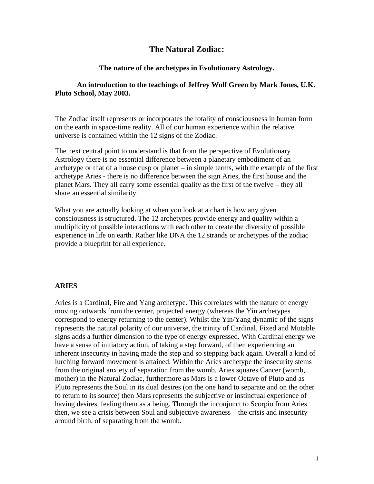# **The Natural Zodiac:**

# **The nature of the archetypes in Evolutionary Astrology.**

# **An introduction to the teachings of Jeffrey Wolf Green by Mark Jones, U.K. Pluto School, May 2003.**

The Zodiac itself represents or incorporates the totality of consciousness in human form on the earth in space-time reality. All of our human experience within the relative universe is contained within the 12 signs of the Zodiac.

The next central point to understand is that from the perspective of Evolutionary Astrology there is no essential difference between a planetary embodiment of an archetype or that of a house cusp or planet – in simple terms, with the example of the first archetype Aries - there is no difference between the sign Aries, the first house and the planet Mars. They all carry some essential quality as the first of the twelve – they all share an essential similarity.

What you are actually looking at when you look at a chart is how any given consciousness is structured. The 12 archetypes provide energy and quality within a multiplicity of possible interactions with each other to create the diversity of possible experience in life on earth. Rather like DNA the 12 strands or archetypes of the zodiac provide a blueprint for all experience.

# **ARIES**

Aries is a Cardinal, Fire and Yang archetype. This correlates with the nature of energy moving outwards from the center, projected energy (whereas the Yin archetypes correspond to energy returning to the center). Whilst the Yin/Yang dynamic of the signs represents the natural polarity of our universe, the trinity of Cardinal, Fixed and Mutable signs adds a further dimension to the type of energy expressed. With Cardinal energy we have a sense of initiatory action, of taking a step forward, of then experiencing an inherent insecurity in having made the step and so stepping back again. Overall a kind of lurching forward movement is attained. Within the Aries archetype the insecurity stems from the original anxiety of separation from the womb. Aries squares Cancer (womb, mother) in the Natural Zodiac, furthermore as Mars is a lower Octave of Pluto and as Pluto represents the Soul in its dual desires (on the one hand to separate and on the other to return to its source) then Mars represents the subjective or instinctual experience of having desires, feeling them as a being. Through the inconjunct to Scorpio from Aries then, we see a crisis between Soul and subjective awareness – the crisis and insecurity around birth, of separating from the womb.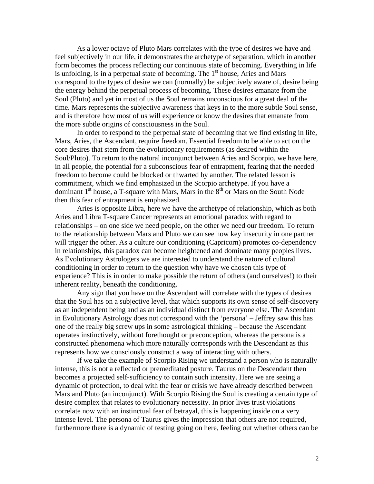As a lower octave of Pluto Mars correlates with the type of desires we have and feel subjectively in our life, it demonstrates the archetype of separation, which in another form becomes the process reflecting our continuous state of becoming. Everything in life is unfolding, is in a perpetual state of becoming. The  $1<sup>st</sup>$  house, Aries and Mars correspond to the types of desire we can (normally) be subjectively aware of, desire being the energy behind the perpetual process of becoming. These desires emanate from the Soul (Pluto) and yet in most of us the Soul remains unconscious for a great deal of the time. Mars represents the subjective awareness that keys in to the more subtle Soul sense, and is therefore how most of us will experience or know the desires that emanate from the more subtle origins of consciousness in the Soul.

 In order to respond to the perpetual state of becoming that we find existing in life, Mars, Aries, the Ascendant, require freedom. Essential freedom to be able to act on the core desires that stem from the evolutionary requirements (as desired within the Soul/Pluto). To return to the natural inconjunct between Aries and Scorpio, we have here, in all people, the potential for a subconscious fear of entrapment, fearing that the needed freedom to become could be blocked or thwarted by another. The related lesson is commitment, which we find emphasized in the Scorpio archetype. If you have a dominant  $1<sup>st</sup>$  house, a T-square with Mars, Mars in the  $8<sup>th</sup>$  or Mars on the South Node then this fear of entrapment is emphasized.

 Aries is opposite Libra, here we have the archetype of relationship, which as both Aries and Libra T-square Cancer represents an emotional paradox with regard to relationships – on one side we need people, on the other we need our freedom. To return to the relationship between Mars and Pluto we can see how key insecurity in one partner will trigger the other. As a culture our conditioning (Capricorn) promotes co-dependency in relationships, this paradox can become heightened and dominate many peoples lives. As Evolutionary Astrologers we are interested to understand the nature of cultural conditioning in order to return to the question why have we chosen this type of experience? This is in order to make possible the return of others (and ourselves!) to their inherent reality, beneath the conditioning.

 Any sign that you have on the Ascendant will correlate with the types of desires that the Soul has on a subjective level, that which supports its own sense of self-discovery as an independent being and as an individual distinct from everyone else. The Ascendant in Evolutionary Astrology does not correspond with the 'persona' – Jeffrey saw this has one of the really big screw ups in some astrological thinking – because the Ascendant operates instinctively, without forethought or preconception, whereas the persona is a constructed phenomena which more naturally corresponds with the Descendant as this represents how we consciously construct a way of interacting with others.

 If we take the example of Scorpio Rising we understand a person who is naturally intense, this is not a reflected or premeditated posture. Taurus on the Descendant then becomes a projected self-sufficiency to contain such intensity. Here we are seeing a dynamic of protection, to deal with the fear or crisis we have already described between Mars and Pluto (an inconjunct). With Scorpio Rising the Soul is creating a certain type of desire complex that relates to evolutionary necessity. In prior lives trust violations correlate now with an instinctual fear of betrayal, this is happening inside on a very intense level. The persona of Taurus gives the impression that others are not required, furthermore there is a dynamic of testing going on here, feeling out whether others can be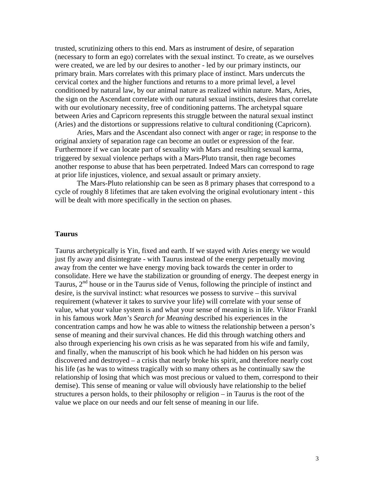trusted, scrutinizing others to this end. Mars as instrument of desire, of separation (necessary to form an ego) correlates with the sexual instinct. To create, as we ourselves were created, we are led by our desires to another - led by our primary instincts, our primary brain. Mars correlates with this primary place of instinct. Mars undercuts the cervical cortex and the higher functions and returns to a more primal level, a level conditioned by natural law, by our animal nature as realized within nature. Mars, Aries, the sign on the Ascendant correlate with our natural sexual instincts, desires that correlate with our evolutionary necessity, free of conditioning patterns. The archetypal square between Aries and Capricorn represents this struggle between the natural sexual instinct (Aries) and the distortions or suppressions relative to cultural conditioning (Capricorn).

 Aries, Mars and the Ascendant also connect with anger or rage; in response to the original anxiety of separation rage can become an outlet or expression of the fear. Furthermore if we can locate part of sexuality with Mars and resulting sexual karma, triggered by sexual violence perhaps with a Mars-Pluto transit, then rage becomes another response to abuse that has been perpetrated. Indeed Mars can correspond to rage at prior life injustices, violence, and sexual assault or primary anxiety.

 The Mars-Pluto relationship can be seen as 8 primary phases that correspond to a cycle of roughly 8 lifetimes that are taken evolving the original evolutionary intent - this will be dealt with more specifically in the section on phases.

#### **Taurus**

Taurus archetypically is Yin, fixed and earth. If we stayed with Aries energy we would just fly away and disintegrate - with Taurus instead of the energy perpetually moving away from the center we have energy moving back towards the center in order to consolidate. Here we have the stabilization or grounding of energy. The deepest energy in Taurus,  $2<sup>nd</sup>$  house or in the Taurus side of Venus, following the principle of instinct and desire, is the survival instinct: what resources we possess to survive – this survival requirement (whatever it takes to survive your life) will correlate with your sense of value, what your value system is and what your sense of meaning is in life. Viktor Frankl in his famous work *Man's Search for Meaning* described his experiences in the concentration camps and how he was able to witness the relationship between a person's sense of meaning and their survival chances. He did this through watching others and also through experiencing his own crisis as he was separated from his wife and family, and finally, when the manuscript of his book which he had hidden on his person was discovered and destroyed – a crisis that nearly broke his spirit, and therefore nearly cost his life (as he was to witness tragically with so many others as he continually saw the relationship of losing that which was most precious or valued to them, correspond to their demise). This sense of meaning or value will obviously have relationship to the belief structures a person holds, to their philosophy or religion – in Taurus is the root of the value we place on our needs and our felt sense of meaning in our life.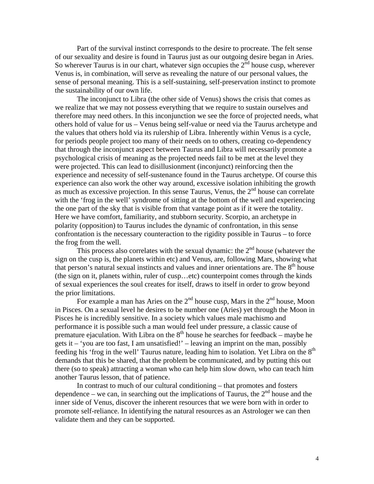Part of the survival instinct corresponds to the desire to procreate. The felt sense of our sexuality and desire is found in Taurus just as our outgoing desire began in Aries. So wherever Taurus is in our chart, whatever sign occupies the  $2<sup>nd</sup>$  house cusp, wherever Venus is, in combination, will serve as revealing the nature of our personal values, the sense of personal meaning. This is a self-sustaining, self-preservation instinct to promote the sustainability of our own life.

The inconjunct to Libra (the other side of Venus) shows the crisis that comes as we realize that we may not possess everything that we require to sustain ourselves and therefore may need others. In this inconjunction we see the force of projected needs, what others hold of value for us – Venus being self-value or need via the Taurus archetype and the values that others hold via its rulership of Libra. Inherently within Venus is a cycle, for periods people project too many of their needs on to others, creating co-dependency that through the inconjunct aspect between Taurus and Libra will necessarily promote a psychological crisis of meaning as the projected needs fail to be met at the level they were projected. This can lead to disillusionment (inconjunct) reinforcing then the experience and necessity of self-sustenance found in the Taurus archetype. Of course this experience can also work the other way around, excessive isolation inhibiting the growth as much as excessive projection. In this sense Taurus, Venus, the  $2<sup>nd</sup>$  house can correlate with the 'frog in the well' syndrome of sitting at the bottom of the well and experiencing the one part of the sky that is visible from that vantage point as if it were the totality. Here we have comfort, familiarity, and stubborn security. Scorpio, an archetype in polarity (opposition) to Taurus includes the dynamic of confrontation, in this sense confrontation is the necessary counteraction to the rigidity possible in Taurus – to force the frog from the well.

This process also correlates with the sexual dynamic: the  $2<sup>nd</sup>$  house (whatever the sign on the cusp is, the planets within etc) and Venus, are, following Mars, showing what that person's natural sexual instincts and values and inner orientations are. The  $8<sup>th</sup>$  house (the sign on it, planets within, ruler of cusp…etc) counterpoint comes through the kinds of sexual experiences the soul creates for itself, draws to itself in order to grow beyond the prior limitations.

For example a man has Aries on the  $2<sup>nd</sup>$  house cusp, Mars in the  $2<sup>nd</sup>$  house, Moon in Pisces. On a sexual level he desires to be number one (Aries) yet through the Moon in Pisces he is incredibly sensitive. In a society which values male machismo and performance it is possible such a man would feel under pressure, a classic cause of premature ejaculation. With Libra on the  $8<sup>th</sup>$  house he searches for feedback – maybe he gets it – 'you are too fast, I am unsatisfied!' – leaving an imprint on the man, possibly feeding his 'frog in the well' Taurus nature, leading him to isolation. Yet Libra on the  $8<sup>th</sup>$ demands that this be shared, that the problem be communicated, and by putting this out there (so to speak) attracting a woman who can help him slow down, who can teach him another Taurus lesson, that of patience.

In contrast to much of our cultural conditioning – that promotes and fosters dependence – we can, in searching out the implications of Taurus, the  $2<sup>nd</sup>$  house and the inner side of Venus, discover the inherent resources that we were born with in order to promote self-reliance. In identifying the natural resources as an Astrologer we can then validate them and they can be supported.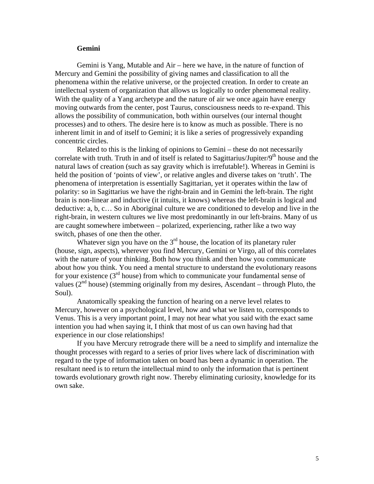## **Gemini**

Gemini is Yang, Mutable and Air – here we have, in the nature of function of Mercury and Gemini the possibility of giving names and classification to all the phenomena within the relative universe, or the projected creation. In order to create an intellectual system of organization that allows us logically to order phenomenal reality. With the quality of a Yang archetype and the nature of air we once again have energy moving outwards from the center, post Taurus, consciousness needs to re-expand. This allows the possibility of communication, both within ourselves (our internal thought processes) and to others. The desire here is to know as much as possible. There is no inherent limit in and of itself to Gemini; it is like a series of progressively expanding concentric circles.

Related to this is the linking of opinions to Gemini – these do not necessarily correlate with truth. Truth in and of itself is related to Sagittarius/Jupiter/ $9<sup>th</sup>$  house and the natural laws of creation (such as say gravity which is irrefutable!). Whereas in Gemini is held the position of 'points of view', or relative angles and diverse takes on 'truth'. The phenomena of interpretation is essentially Sagittarian, yet it operates within the law of polarity: so in Sagittarius we have the right-brain and in Gemini the left-brain. The right brain is non-linear and inductive (it intuits, it knows) whereas the left-brain is logical and deductive: a, b, c… So in Aboriginal culture we are conditioned to develop and live in the right-brain, in western cultures we live most predominantly in our left-brains. Many of us are caught somewhere imbetween – polarized, experiencing, rather like a two way switch, phases of one then the other.

Whatever sign you have on the  $3<sup>rd</sup>$  house, the location of its planetary ruler (house, sign, aspects), wherever you find Mercury, Gemini or Virgo, all of this correlates with the nature of your thinking. Both how you think and then how you communicate about how you think. You need a mental structure to understand the evolutionary reasons for your existence  $(3<sup>rd</sup>$  house) from which to communicate your fundamental sense of values  $(2<sup>nd</sup> house)$  (stemming originally from my desires, Ascendant – through Pluto, the Soul).

Anatomically speaking the function of hearing on a nerve level relates to Mercury, however on a psychological level, how and what we listen to, corresponds to Venus. This is a very important point, I may not hear what you said with the exact same intention you had when saying it, I think that most of us can own having had that experience in our close relationships!

If you have Mercury retrograde there will be a need to simplify and internalize the thought processes with regard to a series of prior lives where lack of discrimination with regard to the type of information taken on board has been a dynamic in operation. The resultant need is to return the intellectual mind to only the information that is pertinent towards evolutionary growth right now. Thereby eliminating curiosity, knowledge for its own sake.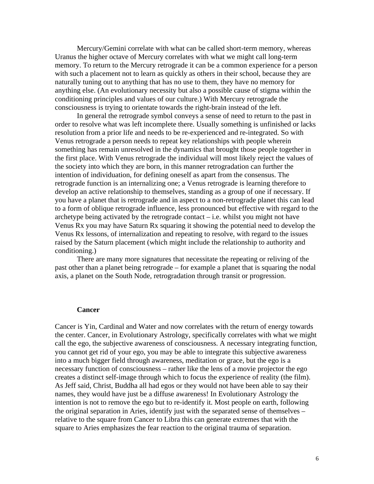Mercury/Gemini correlate with what can be called short-term memory, whereas Uranus the higher octave of Mercury correlates with what we might call long-term memory. To return to the Mercury retrograde it can be a common experience for a person with such a placement not to learn as quickly as others in their school, because they are naturally tuning out to anything that has no use to them, they have no memory for anything else. (An evolutionary necessity but also a possible cause of stigma within the conditioning principles and values of our culture.) With Mercury retrograde the consciousness is trying to orientate towards the right-brain instead of the left.

In general the retrograde symbol conveys a sense of need to return to the past in order to resolve what was left incomplete there. Usually something is unfinished or lacks resolution from a prior life and needs to be re-experienced and re-integrated. So with Venus retrograde a person needs to repeat key relationships with people wherein something has remain unresolved in the dynamics that brought those people together in the first place. With Venus retrograde the individual will most likely reject the values of the society into which they are born, in this manner retrogradation can further the intention of individuation, for defining oneself as apart from the consensus. The retrograde function is an internalizing one; a Venus retrograde is learning therefore to develop an active relationship to themselves, standing as a group of one if necessary. If you have a planet that is retrograde and in aspect to a non-retrograde planet this can lead to a form of oblique retrograde influence, less pronounced but effective with regard to the archetype being activated by the retrograde contact  $-$  i.e. whilst you might not have Venus Rx you may have Saturn Rx squaring it showing the potential need to develop the Venus Rx lessons, of internalization and repeating to resolve, with regard to the issues raised by the Saturn placement (which might include the relationship to authority and conditioning.)

There are many more signatures that necessitate the repeating or reliving of the past other than a planet being retrograde – for example a planet that is squaring the nodal axis, a planet on the South Node, retrogradation through transit or progression.

#### **Cancer**

Cancer is Yin, Cardinal and Water and now correlates with the return of energy towards the center. Cancer, in Evolutionary Astrology, specifically correlates with what we might call the ego, the subjective awareness of consciousness. A necessary integrating function, you cannot get rid of your ego, you may be able to integrate this subjective awareness into a much bigger field through awareness, meditation or grace, but the ego is a necessary function of consciousness – rather like the lens of a movie projector the ego creates a distinct self-image through which to focus the experience of reality (the film). As Jeff said, Christ, Buddha all had egos or they would not have been able to say their names, they would have just be a diffuse awareness! In Evolutionary Astrology the intention is not to remove the ego but to re-identify it. Most people on earth, following the original separation in Aries, identify just with the separated sense of themselves – relative to the square from Cancer to Libra this can generate extremes that with the square to Aries emphasizes the fear reaction to the original trauma of separation.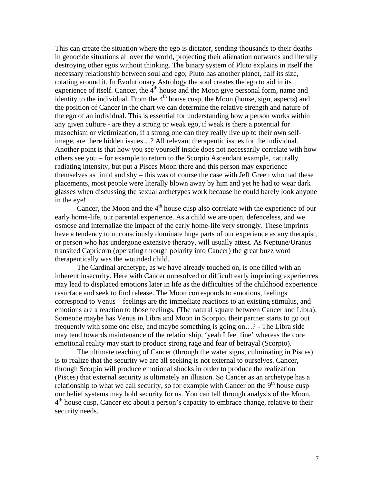This can create the situation where the ego is dictator, sending thousands to their deaths in genocide situations all over the world, projecting their alienation outwards and literally destroying other egos without thinking. The binary system of Pluto explains in itself the necessary relationship between soul and ego; Pluto has another planet, half its size, rotating around it. In Evolutionary Astrology the soul creates the ego to aid in its experience of itself. Cancer, the  $4<sup>th</sup>$  house and the Moon give personal form, name and identity to the individual. From the  $4<sup>th</sup>$  house cusp, the Moon (house, sign, aspects) and the position of Cancer in the chart we can determine the relative strength and nature of the ego of an individual. This is essential for understanding how a person works within any given culture - are they a strong or weak ego, if weak is there a potential for masochism or victimization, if a strong one can they really live up to their own selfimage, are there hidden issues…? All relevant therapeutic issues for the individual. Another point is that how you see yourself inside does not necessarily correlate with how others see you – for example to return to the Scorpio Ascendant example, naturally radiating intensity, but put a Pisces Moon there and this person may experience themselves as timid and shy – this was of course the case with Jeff Green who had these placements, most people were literally blown away by him and yet he had to wear dark glasses when discussing the sexual archetypes work because he could barely look anyone in the eye!

Cancer, the Moon and the  $4<sup>th</sup>$  house cusp also correlate with the experience of our early home-life, our parental experience. As a child we are open, defenceless, and we osmose and internalize the impact of the early home-life very strongly. These imprints have a tendency to unconsciously dominate huge parts of our experience as any therapist, or person who has undergone extensive therapy, will usually attest. As Neptune/Uranus transited Capricorn (operating through polarity into Cancer) the great buzz word therapeutically was the wounded child.

 The Cardinal archetype, as we have already touched on, is one filled with an inherent insecurity. Here with Cancer unresolved or difficult early imprinting experiences may lead to displaced emotions later in life as the difficulties of the childhood experience resurface and seek to find release. The Moon corresponds to emotions, feelings correspond to Venus – feelings are the immediate reactions to an existing stimulus, and emotions are a reaction to those feelings. (The natural square between Cancer and Libra). Someone maybe has Venus in Libra and Moon in Scorpio, their partner starts to go out frequently with some one else, and maybe something is going on…? - The Libra side may tend towards maintenance of the relationship, 'yeah I feel fine' whereas the core emotional reality may start to produce strong rage and fear of betrayal (Scorpio).

 The ultimate teaching of Cancer (through the water signs, culminating in Pisces) is to realize that the security we are all seeking is not external to ourselves. Cancer, through Scorpio will produce emotional shocks in order to produce the realization (Pisces) that external security is ultimately an illusion. So Cancer as an archetype has a relationship to what we call security, so for example with Cancer on the  $9<sup>th</sup>$  house cusp our belief systems may hold security for us. You can tell through analysis of the Moon,  $4<sup>th</sup>$  house cusp, Cancer etc about a person's capacity to embrace change, relative to their security needs.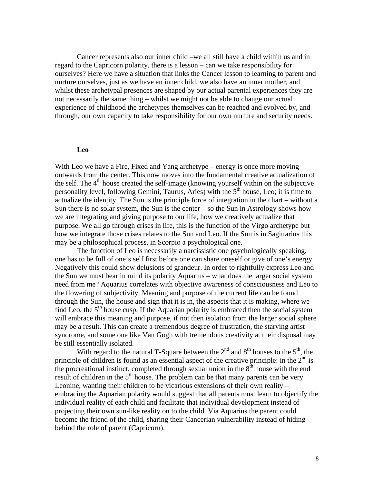Cancer represents also our inner child –we all still have a child within us and in regard to the Capricorn polarity, there is a lesson – can we take responsibility for ourselves? Here we have a situation that links the Cancer lesson to learning to parent and nurture ourselves, just as we have an inner child, we also have an inner mother, and whilst these archetypal presences are shaped by our actual parental experiences they are not necessarily the same thing – whilst we might not be able to change our actual experience of childhood the archetypes themselves can be reached and evolved by, and through, our own capacity to take responsibility for our own nurture and security needs.

#### **Leo**

With Leo we have a Fire, Fixed and Yang archetype – energy is once more moving outwards from the center. This now moves into the fundamental creative actualization of the self. The  $4<sup>th</sup>$  house created the self-image (knowing yourself within on the subjective personality level, following Gemini, Taurus, Aries) with the  $5<sup>th</sup>$  house, Leo; it is time to actualize the identity. The Sun is the principle force of integration in the chart – without a Sun there is no solar system, the Sun is the center  $-$  so the Sun in Astrology shows how we are integrating and giving purpose to our life, how we creatively actualize that purpose. We all go through crises in life, this is the function of the Virgo archetype but how we integrate those crises relates to the Sun and Leo. If the Sun is in Sagittarius this may be a philosophical process, in Scorpio a psychological one.

 The function of Leo is necessarily a narcissistic one psychologically speaking, one has to be full of one's self first before one can share oneself or give of one's energy. Negatively this could show delusions of grandeur. In order to rightfully express Leo and the Sun we must bear in mind its polarity Aquarius – what does the larger social system need from me? Aquarius correlates with objective awareness of consciousness and Leo to the flowering of subjectivity. Meaning and purpose of the current life can be found through the Sun, the house and sign that it is in, the aspects that it is making, where we find Leo, the  $5<sup>th</sup>$  house cusp. If the Aquarian polarity is embraced then the social system will embrace this meaning and purpose, if not then isolation from the larger social sphere may be a result. This can create a tremendous degree of frustration, the starving artist syndrome, and some one like Van Gogh with tremendous creativity at their disposal may be still essentially isolated.

With regard to the natural T-Square between the  $2<sup>nd</sup>$  and  $8<sup>th</sup>$  houses to the  $5<sup>th</sup>$ , the principle of children is found as an essential aspect of the creative principle: in the  $2<sup>nd</sup>$  is the procreational instinct, completed through sexual union in the  $8<sup>th</sup>$  house with the end result of children in the  $5<sup>th</sup>$  house. The problem can be that many parents can be very Leonine, wanting their children to be vicarious extensions of their own reality – embracing the Aquarian polarity would suggest that all parents must learn to objectify the individual reality of each child and facilitate that individual development instead of projecting their own sun-like reality on to the child. Via Aquarius the parent could become the friend of the child, sharing their Cancerian vulnerability instead of hiding behind the role of parent (Capricorn).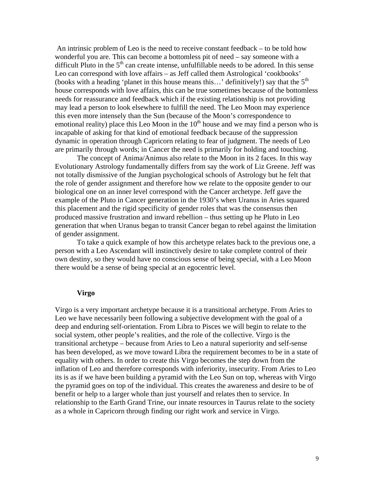An intrinsic problem of Leo is the need to receive constant feedback – to be told how wonderful you are. This can become a bottomless pit of need – say someone with a difficult Pluto in the  $5<sup>th</sup>$  can create intense, unfulfillable needs to be adored. In this sense Leo can correspond with love affairs – as Jeff called them Astrological 'cookbooks' (books with a heading 'planet in this house means this...' definitively!) say that the  $5<sup>th</sup>$ house corresponds with love affairs, this can be true sometimes because of the bottomless needs for reassurance and feedback which if the existing relationship is not providing may lead a person to look elsewhere to fulfill the need. The Leo Moon may experience this even more intensely than the Sun (because of the Moon's correspondence to emotional reality) place this Leo Moon in the  $10<sup>th</sup>$  house and we may find a person who is incapable of asking for that kind of emotional feedback because of the suppression dynamic in operation through Capricorn relating to fear of judgment. The needs of Leo are primarily through words; in Cancer the need is primarily for holding and touching.

 The concept of Anima/Animus also relate to the Moon in its 2 faces. In this way Evolutionary Astrology fundamentally differs from say the work of Liz Greene. Jeff was not totally dismissive of the Jungian psychological schools of Astrology but he felt that the role of gender assignment and therefore how we relate to the opposite gender to our biological one on an inner level correspond with the Cancer archetype. Jeff gave the example of the Pluto in Cancer generation in the 1930's when Uranus in Aries squared this placement and the rigid specificity of gender roles that was the consensus then produced massive frustration and inward rebellion – thus setting up he Pluto in Leo generation that when Uranus began to transit Cancer began to rebel against the limitation of gender assignment.

 To take a quick example of how this archetype relates back to the previous one, a person with a Leo Ascendant will instinctively desire to take complete control of their own destiny, so they would have no conscious sense of being special, with a Leo Moon there would be a sense of being special at an egocentric level.

## **Virgo**

Virgo is a very important archetype because it is a transitional archetype. From Aries to Leo we have necessarily been following a subjective development with the goal of a deep and enduring self-orientation. From Libra to Pisces we will begin to relate to the social system, other people's realities, and the role of the collective. Virgo is the transitional archetype – because from Aries to Leo a natural superiority and self-sense has been developed, as we move toward Libra the requirement becomes to be in a state of equality with others. In order to create this Virgo becomes the step down from the inflation of Leo and therefore corresponds with inferiority, insecurity. From Aries to Leo its is as if we have been building a pyramid with the Leo Sun on top, whereas with Virgo the pyramid goes on top of the individual. This creates the awareness and desire to be of benefit or help to a larger whole than just yourself and relates then to service. In relationship to the Earth Grand Trine, our innate resources in Taurus relate to the society as a whole in Capricorn through finding our right work and service in Virgo.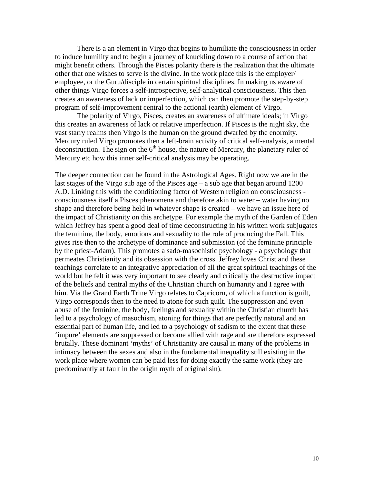There is a an element in Virgo that begins to humiliate the consciousness in order to induce humility and to begin a journey of knuckling down to a course of action that might benefit others. Through the Pisces polarity there is the realization that the ultimate other that one wishes to serve is the divine. In the work place this is the employer/ employee, or the Guru/disciple in certain spiritual disciplines. In making us aware of other things Virgo forces a self-introspective, self-analytical consciousness. This then creates an awareness of lack or imperfection, which can then promote the step-by-step program of self-improvement central to the actional (earth) element of Virgo.

 The polarity of Virgo, Pisces, creates an awareness of ultimate ideals; in Virgo this creates an awareness of lack or relative imperfection. If Pisces is the night sky, the vast starry realms then Virgo is the human on the ground dwarfed by the enormity. Mercury ruled Virgo promotes then a left-brain activity of critical self-analysis, a mental deconstruction. The sign on the  $6<sup>th</sup>$  house, the nature of Mercury, the planetary ruler of Mercury etc how this inner self-critical analysis may be operating.

The deeper connection can be found in the Astrological Ages. Right now we are in the last stages of the Virgo sub age of the Pisces age – a sub age that began around 1200 A.D. Linking this with the conditioning factor of Western religion on consciousness consciousness itself a Pisces phenomena and therefore akin to water – water having no shape and therefore being held in whatever shape is created – we have an issue here of the impact of Christianity on this archetype. For example the myth of the Garden of Eden which Jeffrey has spent a good deal of time deconstructing in his written work subjugates the feminine, the body, emotions and sexuality to the role of producing the Fall. This gives rise then to the archetype of dominance and submission (of the feminine principle by the priest-Adam). This promotes a sado-masochistic psychology - a psychology that permeates Christianity and its obsession with the cross. Jeffrey loves Christ and these teachings correlate to an integrative appreciation of all the great spiritual teachings of the world but he felt it was very important to see clearly and critically the destructive impact of the beliefs and central myths of the Christian church on humanity and I agree with him. Via the Grand Earth Trine Virgo relates to Capricorn, of which a function is guilt, Virgo corresponds then to the need to atone for such guilt. The suppression and even abuse of the feminine, the body, feelings and sexuality within the Christian church has led to a psychology of masochism, atoning for things that are perfectly natural and an essential part of human life, and led to a psychology of sadism to the extent that these 'impure' elements are suppressed or become allied with rage and are therefore expressed brutally. These dominant 'myths' of Christianity are causal in many of the problems in intimacy between the sexes and also in the fundamental inequality still existing in the work place where women can be paid less for doing exactly the same work (they are predominantly at fault in the origin myth of original sin).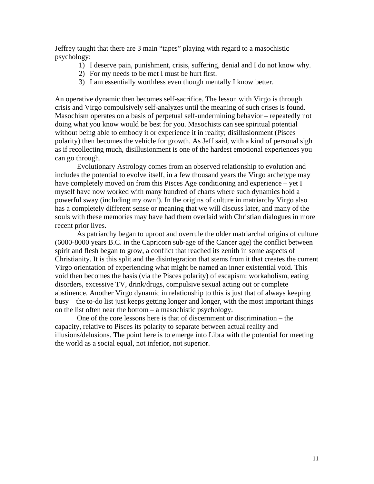Jeffrey taught that there are 3 main "tapes" playing with regard to a masochistic psychology:

- 1) I deserve pain, punishment, crisis, suffering, denial and I do not know why.
- 2) For my needs to be met I must be hurt first.
- 3) I am essentially worthless even though mentally I know better.

An operative dynamic then becomes self-sacrifice. The lesson with Virgo is through crisis and Virgo compulsively self-analyzes until the meaning of such crises is found. Masochism operates on a basis of perpetual self-undermining behavior – repeatedly not doing what you know would be best for you. Masochists can see spiritual potential without being able to embody it or experience it in reality; disillusionment (Pisces polarity) then becomes the vehicle for growth. As Jeff said, with a kind of personal sigh as if recollecting much, disillusionment is one of the hardest emotional experiences you can go through.

 Evolutionary Astrology comes from an observed relationship to evolution and includes the potential to evolve itself, in a few thousand years the Virgo archetype may have completely moved on from this Pisces Age conditioning and experience – yet I myself have now worked with many hundred of charts where such dynamics hold a powerful sway (including my own!). In the origins of culture in matriarchy Virgo also has a completely different sense or meaning that we will discuss later, and many of the souls with these memories may have had them overlaid with Christian dialogues in more recent prior lives.

 As patriarchy began to uproot and overrule the older matriarchal origins of culture (6000-8000 years B.C. in the Capricorn sub-age of the Cancer age) the conflict between spirit and flesh began to grow, a conflict that reached its zenith in some aspects of Christianity. It is this split and the disintegration that stems from it that creates the current Virgo orientation of experiencing what might be named an inner existential void. This void then becomes the basis (via the Pisces polarity) of escapism: workaholism, eating disorders, excessive TV, drink/drugs, compulsive sexual acting out or complete abstinence. Another Virgo dynamic in relationship to this is just that of always keeping busy – the to-do list just keeps getting longer and longer, with the most important things on the list often near the bottom – a masochistic psychology.

 One of the core lessons here is that of discernment or discrimination – the capacity, relative to Pisces its polarity to separate between actual reality and illusions/delusions. The point here is to emerge into Libra with the potential for meeting the world as a social equal, not inferior, not superior.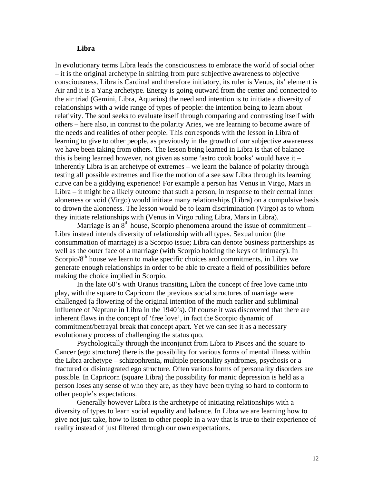## **Libra**

In evolutionary terms Libra leads the consciousness to embrace the world of social other – it is the original archetype in shifting from pure subjective awareness to objective consciousness. Libra is Cardinal and therefore initiatory, its ruler is Venus, its' element is Air and it is a Yang archetype. Energy is going outward from the center and connected to the air triad (Gemini, Libra, Aquarius) the need and intention is to initiate a diversity of relationships with a wide range of types of people: the intention being to learn about relativity. The soul seeks to evaluate itself through comparing and contrasting itself with others – here also, in contrast to the polarity Aries, we are learning to become aware of the needs and realities of other people. This corresponds with the lesson in Libra of learning to give to other people, as previously in the growth of our subjective awareness we have been taking from others. The lesson being learned in Libra is that of balance – this is being learned however, not given as some 'astro cook books' would have it – inherently Libra is an archetype of extremes – we learn the balance of polarity through testing all possible extremes and like the motion of a see saw Libra through its learning curve can be a giddying experience! For example a person has Venus in Virgo, Mars in Libra – it might be a likely outcome that such a person, in response to their central inner aloneness or void (Virgo) would initiate many relationships (Libra) on a compulsive basis to drown the aloneness. The lesson would be to learn discrimination (Virgo) as to whom they initiate relationships with (Venus in Virgo ruling Libra, Mars in Libra).

Marriage is an  $8<sup>th</sup>$  house, Scorpio phenomena around the issue of commitment – Libra instead intends diversity of relationship with all types. Sexual union (the consummation of marriage) is a Scorpio issue; Libra can denote business partnerships as well as the outer face of a marriage (with Scorpio holding the keys of intimacy). In Scorpio/ $8<sup>th</sup>$  house we learn to make specific choices and commitments, in Libra we generate enough relationships in order to be able to create a field of possibilities before making the choice implied in Scorpio.

In the late 60's with Uranus transiting Libra the concept of free love came into play, with the square to Capricorn the previous social structures of marriage were challenged (a flowering of the original intention of the much earlier and subliminal influence of Neptune in Libra in the 1940's). Of course it was discovered that there are inherent flaws in the concept of 'free love', in fact the Scorpio dynamic of commitment/betrayal break that concept apart. Yet we can see it as a necessary evolutionary process of challenging the status quo.

Psychologically through the inconjunct from Libra to Pisces and the square to Cancer (ego structure) there is the possibility for various forms of mental illness within the Libra archetype – schizophrenia, multiple personality syndromes, psychosis or a fractured or disintegrated ego structure. Often various forms of personality disorders are possible. In Capricorn (square Libra) the possibility for manic depression is held as a person loses any sense of who they are, as they have been trying so hard to conform to other people's expectations.

Generally however Libra is the archetype of initiating relationships with a diversity of types to learn social equality and balance. In Libra we are learning how to give not just take, how to listen to other people in a way that is true to their experience of reality instead of just filtered through our own expectations.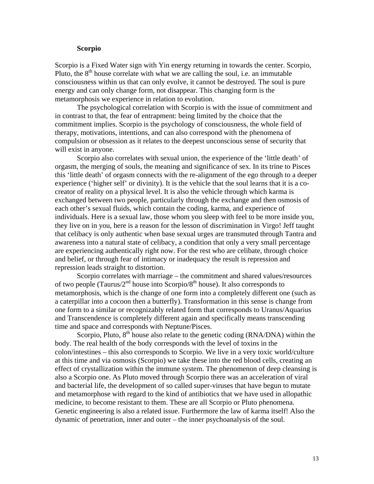# **Scorpio**

Scorpio is a Fixed Water sign with Yin energy returning in towards the center. Scorpio, Pluto, the  $8<sup>th</sup>$  house correlate with what we are calling the soul, i.e. an immutable consciousness within us that can only evolve, it cannot be destroyed. The soul is pure energy and can only change form, not disappear. This changing form is the metamorphosis we experience in relation to evolution.

The psychological correlation with Scorpio is with the issue of commitment and in contrast to that, the fear of entrapment: being limited by the choice that the commitment implies. Scorpio is the psychology of consciousness, the whole field of therapy, motivations, intentions, and can also correspond with the phenomena of compulsion or obsession as it relates to the deepest unconscious sense of security that will exist in anyone.

Scorpio also correlates with sexual union, the experience of the 'little death' of orgasm, the merging of souls, the meaning and significance of sex. In its trine to Pisces this 'little death' of orgasm connects with the re-alignment of the ego through to a deeper experience ('higher self' or divinity). It is the vehicle that the soul learns that it is a cocreator of reality on a physical level. It is also the vehicle through which karma is exchanged between two people, particularly through the exchange and then osmosis of each other's sexual fluids, which contain the coding, karma, and experience of individuals. Here is a sexual law, those whom you sleep with feel to be more inside you, they live on in you, here is a reason for the lesson of discrimination in Virgo! Jeff taught that celibacy is only authentic when base sexual urges are transmuted through Tantra and awareness into a natural state of celibacy, a condition that only a very small percentage are experiencing authentically right now. For the rest who are celibate, through choice and belief, or through fear of intimacy or inadequacy the result is repression and repression leads straight to distortion.

Scorpio correlates with marriage – the commitment and shared values/resources of two people (Taurus/ $2^{nd}$  house into Scorpio/8<sup>th</sup> house). It also corresponds to metamorphosis, which is the change of one form into a completely different one (such as a caterpillar into a cocoon then a butterfly). Transformation in this sense is change from one form to a similar or recognizably related form that corresponds to Uranus/Aquarius and Transcendence is completely different again and specifically means transcending time and space and corresponds with Neptune/Pisces.

Scorpio, Pluto,  $8<sup>th</sup>$  house also relate to the genetic coding (RNA/DNA) within the body. The real health of the body corresponds with the level of toxins in the colon/intestines – this also corresponds to Scorpio. We live in a very toxic world/culture at this time and via osmosis (Scorpio) we take these into the red blood cells, creating an effect of crystallization within the immune system. The phenomenon of deep cleansing is also a Scorpio one. As Pluto moved through Scorpio there was an acceleration of viral and bacterial life, the development of so called super-viruses that have begun to mutate and metamorphose with regard to the kind of antibiotics that we have used in allopathic medicine, to become resistant to them. These are all Scorpio or Pluto phenomena. Genetic engineering is also a related issue. Furthermore the law of karma itself! Also the dynamic of penetration, inner and outer – the inner psychoanalysis of the soul.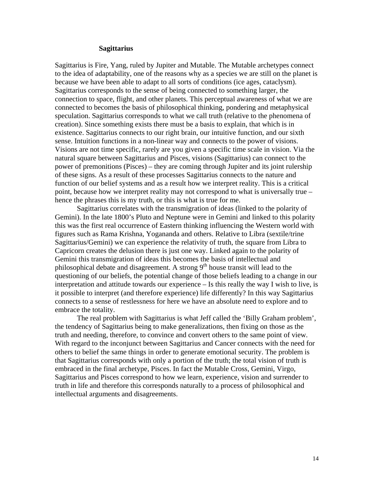#### **Sagittarius**

Sagittarius is Fire, Yang, ruled by Jupiter and Mutable. The Mutable archetypes connect to the idea of adaptability, one of the reasons why as a species we are still on the planet is because we have been able to adapt to all sorts of conditions (ice ages, cataclysm). Sagittarius corresponds to the sense of being connected to something larger, the connection to space, flight, and other planets. This perceptual awareness of what we are connected to becomes the basis of philosophical thinking, pondering and metaphysical speculation. Sagittarius corresponds to what we call truth (relative to the phenomena of creation). Since something exists there must be a basis to explain, that which is in existence. Sagittarius connects to our right brain, our intuitive function, and our sixth sense. Intuition functions in a non-linear way and connects to the power of visions. Visions are not time specific, rarely are you given a specific time scale in vision. Via the natural square between Sagittarius and Pisces, visions (Sagittarius) can connect to the power of premonitions (Pisces) – they are coming through Jupiter and its joint rulership of these signs. As a result of these processes Sagittarius connects to the nature and function of our belief systems and as a result how we interpret reality. This is a critical point, because how we interpret reality may not correspond to what is universally true – hence the phrases this is my truth, or this is what is true for me.

 Sagittarius correlates with the transmigration of ideas (linked to the polarity of Gemini). In the late 1800's Pluto and Neptune were in Gemini and linked to this polarity this was the first real occurrence of Eastern thinking influencing the Western world with figures such as Rama Krishna, Yogananda and others. Relative to Libra (sextile/trine Sagittarius/Gemini) we can experience the relativity of truth, the square from Libra to Capricorn creates the delusion there is just one way. Linked again to the polarity of Gemini this transmigration of ideas this becomes the basis of intellectual and philosophical debate and disagreement. A strong  $9<sup>th</sup>$  house transit will lead to the questioning of our beliefs, the potential change of those beliefs leading to a change in our interpretation and attitude towards our experience – Is this really the way I wish to live, is it possible to interpret (and therefore experience) life differently? In this way Sagittarius connects to a sense of restlessness for here we have an absolute need to explore and to embrace the totality.

 The real problem with Sagittarius is what Jeff called the 'Billy Graham problem', the tendency of Sagittarius being to make generalizations, then fixing on those as the truth and needing, therefore, to convince and convert others to the same point of view. With regard to the inconjunct between Sagittarius and Cancer connects with the need for others to belief the same things in order to generate emotional security. The problem is that Sagittarius corresponds with only a portion of the truth; the total vision of truth is embraced in the final archetype, Pisces. In fact the Mutable Cross, Gemini, Virgo, Sagittarius and Pisces correspond to how we learn, experience, vision and surrender to truth in life and therefore this corresponds naturally to a process of philosophical and intellectual arguments and disagreements.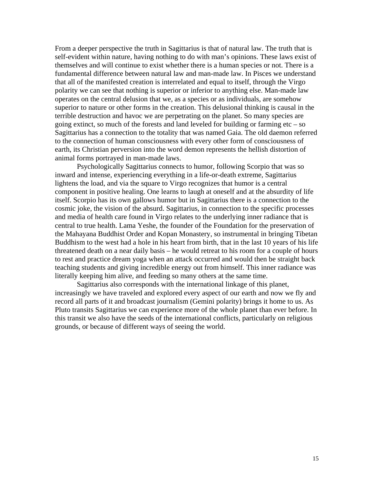From a deeper perspective the truth in Sagittarius is that of natural law. The truth that is self-evident within nature, having nothing to do with man's opinions. These laws exist of themselves and will continue to exist whether there is a human species or not. There is a fundamental difference between natural law and man-made law. In Pisces we understand that all of the manifested creation is interrelated and equal to itself, through the Virgo polarity we can see that nothing is superior or inferior to anything else. Man-made law operates on the central delusion that we, as a species or as individuals, are somehow superior to nature or other forms in the creation. This delusional thinking is causal in the terrible destruction and havoc we are perpetrating on the planet. So many species are going extinct, so much of the forests and land leveled for building or farming  $etc - so$ Sagittarius has a connection to the totality that was named Gaia. The old daemon referred to the connection of human consciousness with every other form of consciousness of earth, its Christian perversion into the word demon represents the hellish distortion of animal forms portrayed in man-made laws.

 Psychologically Sagittarius connects to humor, following Scorpio that was so inward and intense, experiencing everything in a life-or-death extreme, Sagittarius lightens the load, and via the square to Virgo recognizes that humor is a central component in positive healing. One learns to laugh at oneself and at the absurdity of life itself. Scorpio has its own gallows humor but in Sagittarius there is a connection to the cosmic joke, the vision of the absurd. Sagittarius, in connection to the specific processes and media of health care found in Virgo relates to the underlying inner radiance that is central to true health. Lama Yeshe, the founder of the Foundation for the preservation of the Mahayana Buddhist Order and Kopan Monastery, so instrumental in bringing Tibetan Buddhism to the west had a hole in his heart from birth, that in the last 10 years of his life threatened death on a near daily basis – he would retreat to his room for a couple of hours to rest and practice dream yoga when an attack occurred and would then be straight back teaching students and giving incredible energy out from himself. This inner radiance was literally keeping him alive, and feeding so many others at the same time.

 Sagittarius also corresponds with the international linkage of this planet, increasingly we have traveled and explored every aspect of our earth and now we fly and record all parts of it and broadcast journalism (Gemini polarity) brings it home to us. As Pluto transits Sagittarius we can experience more of the whole planet than ever before. In this transit we also have the seeds of the international conflicts, particularly on religious grounds, or because of different ways of seeing the world.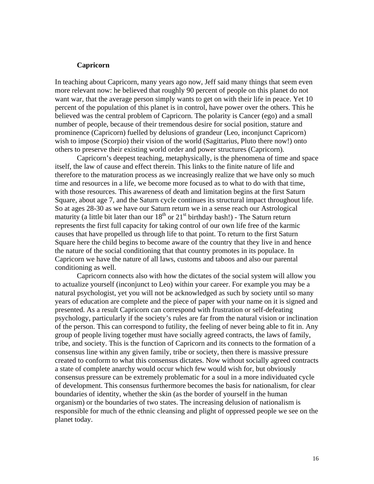## **Capricorn**

In teaching about Capricorn, many years ago now, Jeff said many things that seem even more relevant now: he believed that roughly 90 percent of people on this planet do not want war, that the average person simply wants to get on with their life in peace. Yet 10 percent of the population of this planet is in control, have power over the others. This he believed was the central problem of Capricorn. The polarity is Cancer (ego) and a small number of people, because of their tremendous desire for social position, stature and prominence (Capricorn) fuelled by delusions of grandeur (Leo, inconjunct Capricorn) wish to impose (Scorpio) their vision of the world (Sagittarius, Pluto there now!) onto others to preserve their existing world order and power structures (Capricorn).

 Capricorn's deepest teaching, metaphysically, is the phenomena of time and space itself, the law of cause and effect therein. This links to the finite nature of life and therefore to the maturation process as we increasingly realize that we have only so much time and resources in a life, we become more focused as to what to do with that time, with those resources. This awareness of death and limitation begins at the first Saturn Square, about age 7, and the Saturn cycle continues its structural impact throughout life. So at ages 28-30 as we have our Saturn return we in a sense reach our Astrological maturity (a little bit later than our  $18<sup>th</sup>$  or  $21<sup>st</sup>$  birthday bash!) - The Saturn return represents the first full capacity for taking control of our own life free of the karmic causes that have propelled us through life to that point. To return to the first Saturn Square here the child begins to become aware of the country that they live in and hence the nature of the social conditioning that that country promotes in its populace. In Capricorn we have the nature of all laws, customs and taboos and also our parental conditioning as well.

 Capricorn connects also with how the dictates of the social system will allow you to actualize yourself (inconjunct to Leo) within your career. For example you may be a natural psychologist, yet you will not be acknowledged as such by society until so many years of education are complete and the piece of paper with your name on it is signed and presented. As a result Capricorn can correspond with frustration or self-defeating psychology, particularly if the society's rules are far from the natural vision or inclination of the person. This can correspond to futility, the feeling of never being able to fit in. Any group of people living together must have socially agreed contracts, the laws of family, tribe, and society. This is the function of Capricorn and its connects to the formation of a consensus line within any given family, tribe or society, then there is massive pressure created to conform to what this consensus dictates. Now without socially agreed contracts a state of complete anarchy would occur which few would wish for, but obviously consensus pressure can be extremely problematic for a soul in a more individuated cycle of development. This consensus furthermore becomes the basis for nationalism, for clear boundaries of identity, whether the skin (as the border of yourself in the human organism) or the boundaries of two states. The increasing delusion of nationalism is responsible for much of the ethnic cleansing and plight of oppressed people we see on the planet today.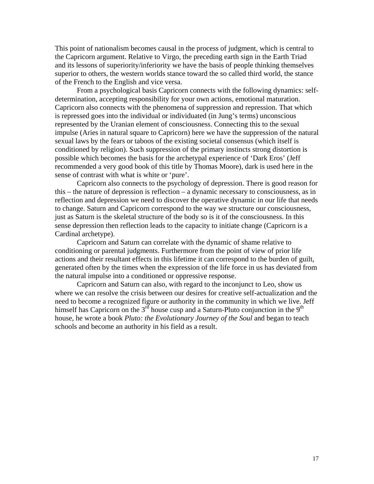This point of nationalism becomes causal in the process of judgment, which is central to the Capricorn argument. Relative to Virgo, the preceding earth sign in the Earth Triad and its lessons of superiority/inferiority we have the basis of people thinking themselves superior to others, the western worlds stance toward the so called third world, the stance of the French to the English and vice versa.

 From a psychological basis Capricorn connects with the following dynamics: selfdetermination, accepting responsibility for your own actions, emotional maturation. Capricorn also connects with the phenomena of suppression and repression. That which is repressed goes into the individual or individuated (in Jung's terms) unconscious represented by the Uranian element of consciousness. Connecting this to the sexual impulse (Aries in natural square to Capricorn) here we have the suppression of the natural sexual laws by the fears or taboos of the existing societal consensus (which itself is conditioned by religion). Such suppression of the primary instincts strong distortion is possible which becomes the basis for the archetypal experience of 'Dark Eros' (Jeff recommended a very good book of this title by Thomas Moore), dark is used here in the sense of contrast with what is white or 'pure'.

 Capricorn also connects to the psychology of depression. There is good reason for this – the nature of depression is reflection – a dynamic necessary to consciousness, as in reflection and depression we need to discover the operative dynamic in our life that needs to change. Saturn and Capricorn correspond to the way we structure our consciousness, just as Saturn is the skeletal structure of the body so is it of the consciousness. In this sense depression then reflection leads to the capacity to initiate change (Capricorn is a Cardinal archetype).

 Capricorn and Saturn can correlate with the dynamic of shame relative to conditioning or parental judgments. Furthermore from the point of view of prior life actions and their resultant effects in this lifetime it can correspond to the burden of guilt, generated often by the times when the expression of the life force in us has deviated from the natural impulse into a conditioned or oppressive response.

 Capricorn and Saturn can also, with regard to the inconjunct to Leo, show us where we can resolve the crisis between our desires for creative self-actualization and the need to become a recognized figure or authority in the community in which we live. Jeff himself has Capricorn on the  $3^{rd}$  house cusp and a Saturn-Pluto conjunction in the 9<sup>th</sup> house, he wrote a book *Pluto: the Evolutionary Journey of the Soul* and began to teach schools and become an authority in his field as a result.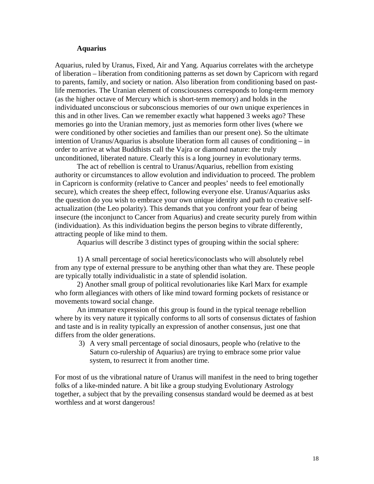# **Aquarius**

Aquarius, ruled by Uranus, Fixed, Air and Yang. Aquarius correlates with the archetype of liberation – liberation from conditioning patterns as set down by Capricorn with regard to parents, family, and society or nation. Also liberation from conditioning based on pastlife memories. The Uranian element of consciousness corresponds to long-term memory (as the higher octave of Mercury which is short-term memory) and holds in the individuated unconscious or subconscious memories of our own unique experiences in this and in other lives. Can we remember exactly what happened 3 weeks ago? These memories go into the Uranian memory, just as memories form other lives (where we were conditioned by other societies and families than our present one). So the ultimate intention of Uranus/Aquarius is absolute liberation form all causes of conditioning – in order to arrive at what Buddhists call the Vajra or diamond nature: the truly unconditioned, liberated nature. Clearly this is a long journey in evolutionary terms.

 The act of rebellion is central to Uranus/Aquarius, rebellion from existing authority or circumstances to allow evolution and individuation to proceed. The problem in Capricorn is conformity (relative to Cancer and peoples' needs to feel emotionally secure), which creates the sheep effect, following everyone else. Uranus/Aquarius asks the question do you wish to embrace your own unique identity and path to creative selfactualization (the Leo polarity). This demands that you confront your fear of being insecure (the inconjunct to Cancer from Aquarius) and create security purely from within (individuation). As this individuation begins the person begins to vibrate differently, attracting people of like mind to them.

Aquarius will describe 3 distinct types of grouping within the social sphere:

 1) A small percentage of social heretics/iconoclasts who will absolutely rebel from any type of external pressure to be anything other than what they are. These people are typically totally individualistic in a state of splendid isolation.

 2) Another small group of political revolutionaries like Karl Marx for example who form allegiances with others of like mind toward forming pockets of resistance or movements toward social change.

 An immature expression of this group is found in the typical teenage rebellion where by its very nature it typically conforms to all sorts of consensus dictates of fashion and taste and is in reality typically an expression of another consensus, just one that differs from the older generations.

3) A very small percentage of social dinosaurs, people who (relative to the Saturn co-rulership of Aquarius) are trying to embrace some prior value system, to resurrect it from another time.

For most of us the vibrational nature of Uranus will manifest in the need to bring together folks of a like-minded nature. A bit like a group studying Evolutionary Astrology together, a subject that by the prevailing consensus standard would be deemed as at best worthless and at worst dangerous!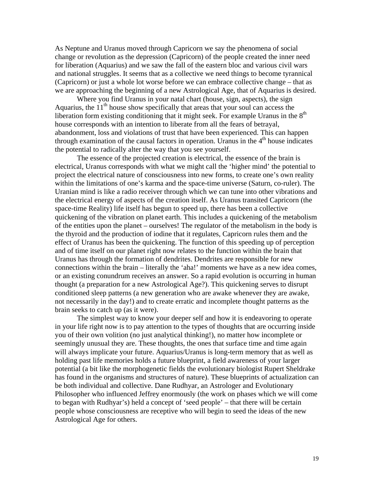As Neptune and Uranus moved through Capricorn we say the phenomena of social change or revolution as the depression (Capricorn) of the people created the inner need for liberation (Aquarius) and we saw the fall of the eastern bloc and various civil wars and national struggles. It seems that as a collective we need things to become tyrannical (Capricorn) or just a whole lot worse before we can embrace collective change – that as we are approaching the beginning of a new Astrological Age, that of Aquarius is desired.

 Where you find Uranus in your natal chart (house, sign, aspects), the sign Aquarius, the  $11<sup>th</sup>$  house show specifically that areas that your soul can access the liberation form existing conditioning that it might seek. For example Uranus in the  $8<sup>th</sup>$ house corresponds with an intention to liberate from all the fears of betrayal, abandonment, loss and violations of trust that have been experienced. This can happen through examination of the causal factors in operation. Uranus in the  $4<sup>th</sup>$  house indicates the potential to radically alter the way that you see yourself.

 The essence of the projected creation is electrical, the essence of the brain is electrical, Uranus corresponds with what we might call the 'higher mind' the potential to project the electrical nature of consciousness into new forms, to create one's own reality within the limitations of one's karma and the space-time universe (Saturn, co-ruler). The Uranian mind is like a radio receiver through which we can tune into other vibrations and the electrical energy of aspects of the creation itself. As Uranus transited Capricorn (the space-time Reality) life itself has begun to speed up, there has been a collective quickening of the vibration on planet earth. This includes a quickening of the metabolism of the entities upon the planet – ourselves! The regulator of the metabolism in the body is the thyroid and the production of iodine that it regulates, Capricorn rules them and the effect of Uranus has been the quickening. The function of this speeding up of perception and of time itself on our planet right now relates to the function within the brain that Uranus has through the formation of dendrites. Dendrites are responsible for new connections within the brain – literally the 'aha!' moments we have as a new idea comes, or an existing conundrum receives an answer. So a rapid evolution is occurring in human thought (a preparation for a new Astrological Age?). This quickening serves to disrupt conditioned sleep patterns (a new generation who are awake whenever they are awake, not necessarily in the day!) and to create erratic and incomplete thought patterns as the brain seeks to catch up (as it were).

 The simplest way to know your deeper self and how it is endeavoring to operate in your life right now is to pay attention to the types of thoughts that are occurring inside you of their own volition (no just analytical thinking!), no matter how incomplete or seemingly unusual they are. These thoughts, the ones that surface time and time again will always implicate your future. Aquarius/Uranus is long-term memory that as well as holding past life memories holds a future blueprint, a field awareness of your larger potential (a bit like the morphogenetic fields the evolutionary biologist Rupert Sheldrake has found in the organisms and structures of nature). These blueprints of actualization can be both individual and collective. Dane Rudhyar, an Astrologer and Evolutionary Philosopher who influenced Jeffrey enormously (the work on phases which we will come to began with Rudhyar's) held a concept of 'seed people' – that there will be certain people whose consciousness are receptive who will begin to seed the ideas of the new Astrological Age for others.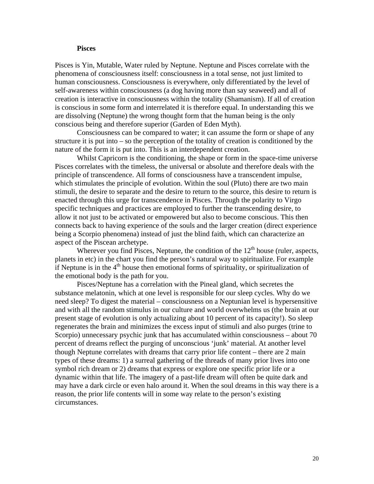## **Pisces**

Pisces is Yin, Mutable, Water ruled by Neptune. Neptune and Pisces correlate with the phenomena of consciousness itself: consciousness in a total sense, not just limited to human consciousness. Consciousness is everywhere, only differentiated by the level of self-awareness within consciousness (a dog having more than say seaweed) and all of creation is interactive in consciousness within the totality (Shamanism). If all of creation is conscious in some form and interrelated it is therefore equal. In understanding this we are dissolving (Neptune) the wrong thought form that the human being is the only conscious being and therefore superior (Garden of Eden Myth).

 Consciousness can be compared to water; it can assume the form or shape of any structure it is put into – so the perception of the totality of creation is conditioned by the nature of the form it is put into. This is an interdependent creation.

 Whilst Capricorn is the conditioning, the shape or form in the space-time universe Pisces correlates with the timeless, the universal or absolute and therefore deals with the principle of transcendence. All forms of consciousness have a transcendent impulse, which stimulates the principle of evolution. Within the soul (Pluto) there are two main stimuli, the desire to separate and the desire to return to the source, this desire to return is enacted through this urge for transcendence in Pisces. Through the polarity to Virgo specific techniques and practices are employed to further the transcending desire, to allow it not just to be activated or empowered but also to become conscious. This then connects back to having experience of the souls and the larger creation (direct experience being a Scorpio phenomena) instead of just the blind faith, which can characterize an aspect of the Piscean archetype.

Wherever you find Pisces, Neptune, the condition of the  $12<sup>th</sup>$  house (ruler, aspects, planets in etc) in the chart you find the person's natural way to spiritualize. For example if Neptune is in the  $4<sup>th</sup>$  house then emotional forms of spirituality, or spiritualization of the emotional body is the path for you.

 Pisces/Neptune has a correlation with the Pineal gland, which secretes the substance melatonin, which at one level is responsible for our sleep cycles. Why do we need sleep? To digest the material – consciousness on a Neptunian level is hypersensitive and with all the random stimulus in our culture and world overwhelms us (the brain at our present stage of evolution is only actualizing about 10 percent of its capacity!). So sleep regenerates the brain and minimizes the excess input of stimuli and also purges (trine to Scorpio) unnecessary psychic junk that has accumulated within consciousness – about 70 percent of dreams reflect the purging of unconscious 'junk' material. At another level though Neptune correlates with dreams that carry prior life content – there are 2 main types of these dreams: 1) a surreal gathering of the threads of many prior lives into one symbol rich dream or 2) dreams that express or explore one specific prior life or a dynamic within that life. The imagery of a past-life dream will often be quite dark and may have a dark circle or even halo around it. When the soul dreams in this way there is a reason, the prior life contents will in some way relate to the person's existing circumstances.